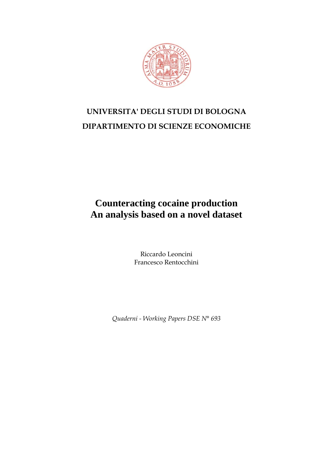

# **UNIVERSITA' DEGLI STUDI DI BOLOGNA DIPARTIMENTO DI SCIENZE ECONOMICHE**

## **Counteracting cocaine production An analysis based on a novel dataset**

Riccardo Leoncini Francesco Rentocchini

*Quaderni - Working Papers DSE N° 693*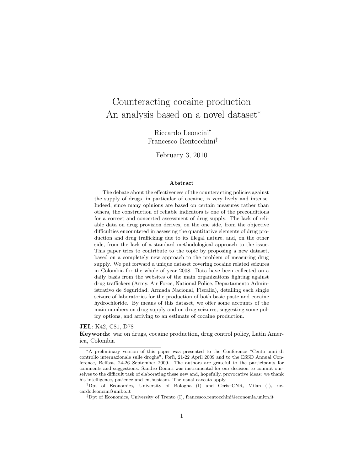## Counteracting cocaine production An analysis based on a novel dataset<sup>∗</sup>

Riccardo Leoncini† Francesco Rentocchini‡

February 3, 2010

#### Abstract

The debate about the effectiveness of the counteracting policies against the supply of drugs, in particular of cocaine, is very lively and intense. Indeed, since many opinions are based on certain measures rather than others, the construction of reliable indicators is one of the preconditions for a correct and concerted assessment of drug supply. The lack of reliable data on drug provision derives, on the one side, from the objective difficulties encountered in assessing the quantitative elements of drug production and drug trafficking due to its illegal nature, and, on the other side, from the lack of a standard methodological approach to the issue. This paper tries to contribute to the topic by proposing a new dataset, based on a completely new approach to the problem of measuring drug supply. We put forward a unique dataset covering cocaine related seizures in Colombia for the whole of year 2008. Data have been collected on a daily basis from the websites of the main organizations fighting against drug traffickers (Army, Air Force, National Police, Departamento Administrativo de Seguridad, Armada Nacional, Fiscalia), detailing each single seizure of laboratories for the production of both basic paste and cocaine hydrochloride. By means of this dataset, we offer some accounts of the main numbers on drug supply and on drug seizures, suggesting some policy options, and arriving to an estimate of cocaine production.

#### JEL: K42, C81, D78

Keywords: war on drugs, cocaine production, drug control policy, Latin America, Colombia

<sup>∗</sup>A preliminary version of this paper was presented to the Conference "Cento anni di controllo internazionale sulle droghe", Forlì, 21-22 April 2009 and to the ESSD Annual Conference, Belfast, 24-26 September 2009. The authors are grateful to the participants for comments and suggestions. Sandro Donati was instrumental for our decision to commit ourselves to the difficult task of elaborating these new and, hopefully, provocative ideas: we thank his intelligence, patience and enthusiasm. The usual caveats apply.

<sup>†</sup>Dpt of Economics, University of Bologna (I) and Ceris–CNR, Milan (I), riccardo.leoncini@unibo.it

<sup>‡</sup>Dpt of Economics, University of Trento (I), francesco.rentocchini@economia.unitn.it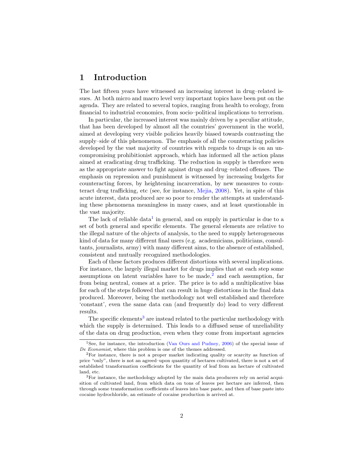#### 1 Introduction

The last fifteen years have witnessed an increasing interest in drug–related issues. At both micro and macro level very important topics have been put on the agenda. They are related to several topics, ranging from health to ecology, from financial to industrial economics, from socio–political implications to terrorism.

In particular, the increased interest was mainly driven by a peculiar attitude, that has been developed by almost all the countries' government in the world, aimed at developing very visible policies heavily biased towards contrasting the supply–side of this phenomenon. The emphasis of all the counteracting policies developed by the vast majority of countries with regards to drugs is on an uncompromising prohibitionist approach, which has informed all the action plans aimed at eradicating drug trafficking. The reduction in supply is therefore seen as the appropriate answer to fight against drugs and drug–related offenses. The emphasis on repression and punishment is witnessed by increasing budgets for counteracting forces, by heightening incarceration, by new measures to counteract drug trafficking, etc (see, for instance, [Mejia,](#page-20-0) [2008\)](#page-20-0). Yet, in spite of this acute interest, data produced are so poor to render the attempts at understanding these phenomena meaningless in many cases, and at least questionable in the vast majority.

The lack of reliable data<sup>[1](#page-2-0)</sup> in general, and on supply in particular is due to a set of both general and specific elements. The general elements are relative to the illegal nature of the objects of analysis, to the need to supply heterogeneous kind of data for many different final users (e.g. academicians, politicians, consultants, journalists, army) with many different aims, to the absence of established, consistent and mutually recognized methodologies.

Each of these factors produces different distortions with several implications. For instance, the largely illegal market for drugs implies that at each step some assumptions on latent variables have to be made, $<sup>2</sup>$  $<sup>2</sup>$  $<sup>2</sup>$  and each assumption, far</sup> from being neutral, comes at a price. The price is to add a multiplicative bias for each of the steps followed that can result in huge distortions in the final data produced. Moreover, being the methodology not well established and therefore 'constant', even the same data can (and frequently do) lead to very different results.

The specific elements<sup>[3](#page-2-2)</sup> are instead related to the particular methodology with which the supply is determined. This leads to a diffused sense of unreliability of the data on drug production, even when they come from important agencies

<span id="page-2-0"></span><sup>&</sup>lt;sup>1</sup>See, for instance, the introduction [\(Van Ours and Pudney,](#page-21-0) [2006\)](#page-21-0) of the special issue of De Economist, where this problem is one of the themes addressed.

<span id="page-2-1"></span><sup>&</sup>lt;sup>2</sup>For instance, there is not a proper market indicating quality or scarcity as function of price "only", there is not an agreed–upon quantity of hectares cultivated, there is not a set of established transformation coefficients for the quantity of leaf from an hectare of cultivated land, etc.

<span id="page-2-2"></span><sup>&</sup>lt;sup>3</sup>For instance, the methodology adopted by the main data producers rely on aerial acquisition of cultivated land, from which data on tons of leaves per hectare are inferred, then through some transformation coefficients of leaves into base paste, and then of base paste into cocaine hydrochloride, an estimate of cocaine production is arrived at.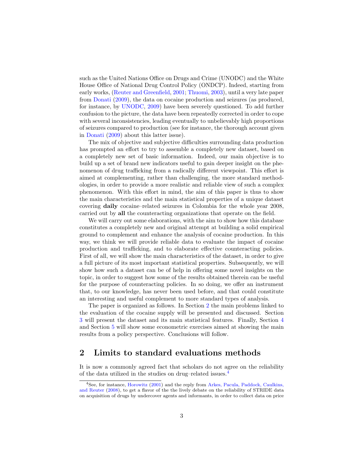such as the United Nations Office on Drugs and Crime (UNODC) and the White House Office of National Drug Control Policy (ONDCP). Indeed, starting from early works, [\(Reuter and Greenfield,](#page-20-1) [2001;](#page-20-1) [Thuomi,](#page-21-1) [2003\)](#page-21-1), until a very late paper from [Donati](#page-19-0) [\(2009\)](#page-19-0), the data on cocaine production and seizures (as produced, for instance, by [UNODC,](#page-21-2) [2009\)](#page-21-2) have been severely questioned. To add further confusion to the picture, the data have been repeatedly corrected in order to cope with several inconsistencies, leading eventually to unbelievably high proportions of seizures compared to production (see for instance, the thorough account given in [Donati](#page-19-0) [\(2009\)](#page-19-0) about this latter issue).

The mix of objective and subjective difficulties surrounding data production has prompted an effort to try to assemble a completely new dataset, based on a completely new set of basic information. Indeed, our main objective is to build up a set of brand new indicators useful to gain deeper insight on the phenomenon of drug trafficking from a radically different viewpoint. This effort is aimed at complementing, rather than challenging, the more standard methodologies, in order to provide a more realistic and reliable view of such a complex phenomenon. With this effort in mind, the aim of this paper is thus to show the main characteristics and the main statistical properties of a unique dataset covering daily cocaine–related seizures in Colombia for the whole year 2008, carried out by all the counteracting organizations that operate on the field.

We will carry out some elaborations, with the aim to show how this database constitutes a completely new and original attempt at building a solid empirical ground to complement and enhance the analysis of cocaine production. In this way, we think we will provide reliable data to evaluate the impact of cocaine production and trafficking, and to elaborate effective counteracting policies. First of all, we will show the main characteristics of the dataset, in order to give a full picture of its most important statistical properties. Subsequently, we will show how such a dataset can be of help in offering some novel insights on the topic, in order to suggest how some of the results obtained therein can be useful for the purpose of counteracting policies. In so doing, we offer an instrument that, to our knowledge, has never been used before, and that could constitute an interesting and useful complement to more standard types of analysis.

The paper is organized as follows. In Section [2](#page-3-0) the main problems linked to the evaluation of the cocaine supply will be presented and discussed. Section [3](#page-6-0) will present the dataset and its main statistical features. Finally, Section [4](#page-7-0) and Section [5](#page-11-0) will show some econometric exercises aimed at showing the main results from a policy perspective. Conclusions will follow.

### <span id="page-3-0"></span>2 Limits to standard evaluations methods

It is now a commonly agreed fact that scholars do not agree on the reliability of the data utilized in the studies on drug–related issues.[4](#page-3-1)

<span id="page-3-1"></span><sup>4</sup>See, for instance, [Horowitz](#page-20-2) [\(2001\)](#page-20-2) and the reply from [Arkes, Pacula, Paddock, Caulkins,](#page-19-1) [and Reuter](#page-19-1) [\(2008\)](#page-19-1), to get a flavor of the the lively debate on the reliability of STRIDE data on acquisition of drugs by undercover agents and informants, in order to collect data on price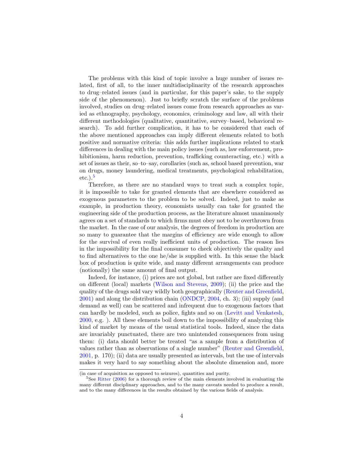The problems with this kind of topic involve a huge number of issues related, first of all, to the inner multidisciplinarity of the research approaches to drug–related issues (and in particular, for this paper's sake, to the supply side of the phenomenon). Just to briefly scratch the surface of the problems involved, studies on drug–related issues come from research approaches as varied as ethnography, psychology, economics, criminology and law, all with their different methodologies (qualitative, quantitative, survey–based, behavioral research). To add further complication, it has to be considered that each of the above mentioned approaches can imply different elements related to both positive and normative criteria: this adds further implications related to stark differences in dealing with the main policy issues (such as, law enforcement, prohibitionism, harm reduction, prevention, trafficking counteracting, etc.) with a set of issues as their, so–to–say, corollaries (such as, school based prevention, war on drugs, money laundering, medical treatments, psychological rehabilitation,  $etc.$ ).<sup>[5](#page-4-0)</sup>

Therefore, as there are no standard ways to treat such a complex topic, it is impossible to take for granted elements that are elsewhere considered as exogenous parameters to the problem to be solved. Indeed, just to make as example, in production theory, economists usually can take for granted the engineering side of the production process, as the literature almost unanimously agrees on a set of standards to which firms must obey not to be overthrown from the market. In the case of our analysis, the degrees of freedom in production are so many to guarantee that the margins of efficiency are wide enough to allow for the survival of even really inefficient units of production. The reason lies in the impossibility for the final consumer to check objectively the quality and to find alternatives to the one he/she is supplied with. In this sense the black box of production is quite wide, and many different arrangements can produce (notionally) the same amount of final output.

Indeed, for instance, (i) prices are not global, but rather are fixed differently on different (local) markets [\(Wilson and Stevens,](#page-21-3) [2009\)](#page-21-3); (ii) the price and the quality of the drugs sold vary wildly both geographically [\(Reuter and Greenfield,](#page-20-1) [2001\)](#page-20-1) and along the distribution chain [\(ONDCP,](#page-20-3) [2004,](#page-20-3) ch. 3); (iii) supply (and demand as well) can be scattered and infrequent due to exogenous factors that can hardly be modeled, such as police, fights and so on [\(Levitt and Venkatesh,](#page-20-4) [2000,](#page-20-4) e.g. ). All these elements boil down to the impossibility of analyzing this kind of market by means of the usual statistical tools. Indeed, since the data are invariably punctuated, there are two unintended consequences from using them: (i) data should better be treated "as a sample from a distribution of values rather than as observations of a single number" [\(Reuter and Greenfield,](#page-20-1) [2001,](#page-20-1) p. 170); (ii) data are usually presented as intervals, but the use of intervals makes it very hard to say something about the absolute dimension and, more

<sup>(</sup>in case of acquisition as opposed to seizures), quantities and purity.

<span id="page-4-0"></span><sup>&</sup>lt;sup>5</sup>See [Ritter](#page-20-5) [\(2006\)](#page-20-5) for a thorough review of the main elements involved in evaluating the many different disciplinary approaches, and to the many caveats needed to produce a result, and to the many differences in the results obtained by the various fields of analysis.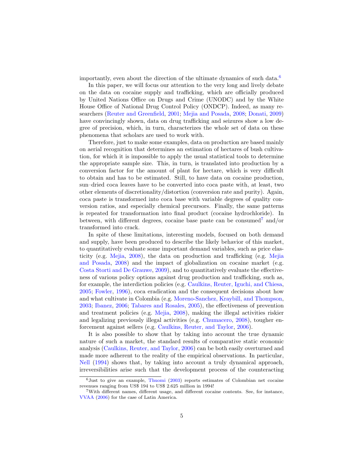importantly, even about the direction of the ultimate dynamics of such data.<sup>[6](#page-5-0)</sup>

In this paper, we will focus our attention to the very long and lively debate on the data on cocaine supply and trafficking, which are officially produced by United Nations Office on Drugs and Crime (UNODC) and by the White House Office of National Drug Control Policy (ONDCP). Indeed, as many researchers [\(Reuter and Greenfield,](#page-20-1) [2001;](#page-20-1) [Mejia and Posada,](#page-20-6) [2008;](#page-20-6) [Donati,](#page-19-0) [2009\)](#page-19-0) have convincingly shown, data on drug trafficking and seizures show a low degree of precision, which, in turn, characterizes the whole set of data on these phenomena that scholars are used to work with.

Therefore, just to make some examples, data on production are based mainly on aerial recognition that determines an estimation of hectares of bush cultivation, for which it is impossible to apply the usual statistical tools to determine the appropriate sample size. This, in turn, is translated into production by a conversion factor for the amount of plant for hectare, which is very difficult to obtain and has to be estimated. Still, to have data on cocaine production, sun–dried coca leaves have to be converted into coca paste with, at least, two other elements of discretionality/distortion (conversion rate and purity). Again, coca paste is transformed into coca base with variable degrees of quality conversion ratios, and especially chemical precursors. Finally, the same patterns is repeated for transformation into final product (cocaine hydrochloride). In between, with different degrees, cocaine base paste can be consumed<sup>[7](#page-5-1)</sup> and/or transformed into crack.

In spite of these limitations, interesting models, focused on both demand and supply, have been produced to describe the likely behavior of this market, to quantitatively evaluate some important demand variables, such as price elasticity (e.g. [Mejia,](#page-20-0) [2008\)](#page-20-0), the data on production and trafficking (e.g. [Mejia](#page-20-6) [and Posada,](#page-20-6) [2008\)](#page-20-6) and the impact of globalization on cocaine market (e.g. [Costa Storti and De Grauwe,](#page-19-2) [2009\)](#page-19-2), and to quantitatively evaluate the effectiveness of various policy options against drug production and trafficking, such as, for example, the interdiction policies (e.g. [Caulkins, Reuter, Iguchi, and Chiesa,](#page-19-3) [2005;](#page-19-3) [Fowler,](#page-20-7) [1996\)](#page-20-7), coca eradication and the consequent decisions about how and what cultivate in Colombia (e.g. [Moreno-Sanchez, Kraybill, and Thompson,](#page-20-8) [2003;](#page-20-8) [Ibanez,](#page-20-9) [2006;](#page-20-9) [Tabares and Rosales,](#page-20-10) [2005\)](#page-20-10), the effectiveness of prevention and treatment policies (e.g. [Mejia,](#page-20-0) [2008\)](#page-20-0), making the illegal activities riskier and legalizing previously illegal activities (e.g. [Chumacero,](#page-19-4) [2008\)](#page-19-4), tougher enforcement against sellers (e.g. [Caulkins, Reuter, and Taylor,](#page-19-5) [2006\)](#page-19-5).

It is also possible to show that by taking into account the true dynamic nature of such a market, the standard results of comparative static economic analysis [\(Caulkins, Reuter, and Taylor,](#page-19-5) [2006\)](#page-19-5) can be both easily overturned and made more adherent to the reality of the empirical observations. In particular, [Nell](#page-20-11) [\(1994\)](#page-20-11) shows that, by taking into account a truly dynamical approach, irreversibilities arise such that the development process of the counteracting

<span id="page-5-0"></span> $6$ Just to give an example, [Thuomi](#page-21-1) [\(2003\)](#page-21-1) reports estimates of Colombian net cocaine revenues ranging from US\$ 194 to US\$ 2.625 million in 1994!

<span id="page-5-1"></span><sup>7</sup>With different names, different usage, and different cocaine contents. See, for instance, [VVAA](#page-21-4) [\(2006\)](#page-21-4) for the case of Latin America.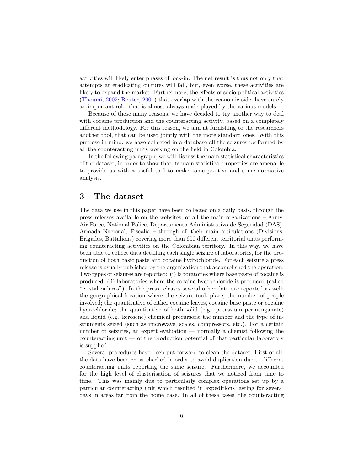activities will likely enter phases of lock-in. The net result is thus not only that attempts at eradicating cultures will fail, but, even worse, these activities are likely to expand the market. Furthermore, the effects of socio-political activities [\(Thoumi,](#page-21-5) [2002;](#page-21-5) [Reuter,](#page-20-12) [2001\)](#page-20-12) that overlap with the economic side, have surely an important role, that is almost always underplayed by the various models.

Because of these many reasons, we have decided to try another way to deal with cocaine production and the counteracting activity, based on a completely different methodology. For this reason, we aim at furnishing to the researchers another tool, that can be used jointly with the more standard ones. With this purpose in mind, we have collected in a database all the seizures performed by all the counteracting units working on the field in Colombia.

In the following paragraph, we will discuss the main statistical characteristics of the dataset, in order to show that its main statistical properties are amenable to provide us with a useful tool to make some positive and some normative analysis.

### <span id="page-6-0"></span>3 The dataset

The data we use in this paper have been collected on a daily basis, through the press releases available on the websites, of all the main organizations – Army, Air Force, National Police, Departamento Administrativo de Seguridad (DAS), Armada Nacional, Fiscalia – through all their main articulations (Divisions, Brigades, Battalions) covering more than 600 different territorial units performing counteracting activities on the Colombian territory. In this way, we have been able to collect data detailing each single seizure of laboratories, for the production of both basic paste and cocaine hydrochloride. For each seizure a press release is usually published by the organization that accomplished the operation. Two types of seizures are reported: (i) laboratories where base paste of cocaine is produced, (ii) laboratories where the cocaine hydrochloride is produced (called "cristalizaderos"). In the press releases several other data are reported as well: the geographical location where the seizure took place; the number of people involved; the quantitative of either cocaine leaves, cocaine base paste or cocaine hydrochloride; the quantitative of both solid (e.g. potassium permanganate) and liquid (e.g. kerosene) chemical precursors; the number and the type of instruments seized (such as microwave, scales, compressors, etc.). For a certain number of seizures, an expert evaluation — normally a chemist following the counteracting unit — of the production potential of that particular laboratory is supplied.

Several procedures have been put forward to clean the dataset. First of all, the data have been cross–checked in order to avoid duplication due to different counteracting units reporting the same seizure. Furthermore, we accounted for the high level of clusterisation of seizures that we noticed from time to time. This was mainly due to particularly complex operations set up by a particular counteracting unit which resulted in expeditions lasting for several days in areas far from the home base. In all of these cases, the counteracting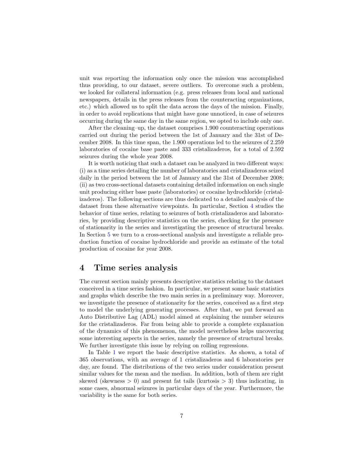unit was reporting the information only once the mission was accomplished thus providing, to our dataset, severe outliers. To overcome such a problem, we looked for collateral information (e.g. press releases from local and national newspapers, details in the press releases from the counteracting organizations, etc.) which allowed us to split the data across the days of the mission. Finally, in order to avoid replications that might have gone unnoticed, in case of seizures occurring during the same day in the same region, we opted to include only one.

After the cleaning–up, the dataset comprises 1.900 counteracting operations carried out during the period between the 1st of January and the 31st of December 2008. In this time span, the 1.900 operations led to the seizures of 2.259 laboratories of cocaine base paste and 333 cristalizaderos, for a total of 2.592 seizures during the whole year 2008.

It is worth noticing that such a dataset can be analyzed in two different ways: (i) as a time series detailing the number of laboratories and cristalizaderos seized daily in the period between the 1st of January and the 31st of December 2008; (ii) as two cross-sectional datasets containing detailed information on each single unit producing either base paste (laboratories) or cocaine hydrochloride (cristalizaderos). The following sections are thus dedicated to a detailed analysis of the dataset from these alternative viewpoints. In particular, Section [4](#page-7-0) studies the behavior of time series, relating to seizures of both cristalizaderos and laboratories, by providing descriptive statistics on the series, checking for the presence of stationarity in the series and investigating the presence of structural breaks. In Section [5](#page-11-0) we turn to a cross-sectional analysis and investigate a reliable production function of cocaine hydrochloride and provide an estimate of the total production of cocaine for year 2008.

#### <span id="page-7-0"></span>4 Time series analysis

The current section mainly presents descriptive statistics relating to the dataset conceived in a time series fashion. In particular, we present some basic statistics and graphs which describe the two main series in a preliminary way. Moreover, we investigate the presence of stationarity for the series, conceived as a first step to model the underlying generating processes. After that, we put forward an Auto Distributive Lag (ADL) model aimed at explaining the number seizures for the cristalizaderos. Far from being able to provide a complete explanation of the dynamics of this phenomenon, the model nevertheless helps uncovering some interesting aspects in the series, namely the presence of structural breaks. We further investigate this issue by relying on rolling regressions.

In Table [1](#page-8-0) we report the basic descriptive statistics. As shown, a total of 365 observations, with an average of 1 cristalizaderos and 6 laboratories per day, are found. The distributions of the two series under consideration present similar values for the mean and the median. In addition, both of them are right skewed (skewness  $> 0$ ) and present fat tails (kurtosis  $> 3$ ) thus indicating, in some cases, abnormal seizures in particular days of the year. Furthermore, the variability is the same for both series.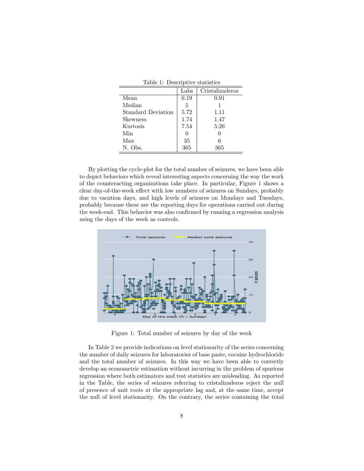|                           | Labs | Cristalizaderos |
|---------------------------|------|-----------------|
| Mean                      | 6.19 | 0.91            |
| Median                    | 5    |                 |
| <b>Standard Deviation</b> | 5.72 | 1.11            |
| <b>Skewness</b>           | 1.74 | 1.47            |
| Kurtosis                  | 7.54 | 5.26            |
| Min                       | 0    |                 |
| Max                       | 35   |                 |
| N. Obs.                   | 365  | 365             |

<span id="page-8-0"></span>Table 1: Descriptive statistics

By plotting the cycle-plot for the total number of seizures, we have been able to depict behaviors which reveal interesting aspects concerning the way the work of the counteracting organizations take place. In particular, Figure [1](#page-8-1) shows a clear day-of-the-week effect with low numbers of seizures on Sundays, probably due to vacation days, and high levels of seizures on Mondays and Tuesdays, probably because these are the reporting days for operations carried out during the week-end. This behavior was also confirmed by running a regression analysis using the days of the week as controls.



<span id="page-8-1"></span>Figure 1: Total number of seizures by day of the week

In Table [2](#page-9-0) we provide indications on level stationarity of the series concerning the number of daily seizures for laboratories of base paste, cocaine hydrochloride and the total number of seizures. In this way we have been able to correctly develop an econometric estimation without incurring in the problem of spurious regression where both estimators and test statistics are misleading. As reported in the Table, the series of seizures referring to cristalizaderos reject the null of presence of unit roots at the appropriate lag and, at the same time, accept the null of level stationarity. On the contrary, the series containing the total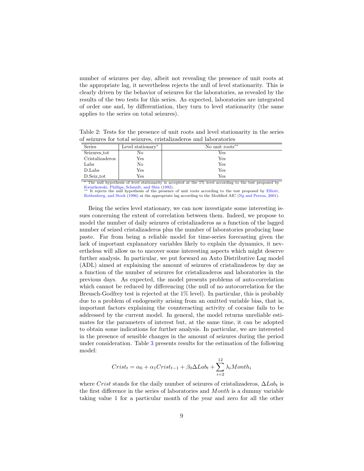number of seizures per day, albeit not revealing the presence of unit roots at the appropriate lag, it nevertheless rejects the null of level stationarity. This is clearly driven by the behavior of seizures for the laboratories, as revealed by the results of the two tests for this series. As expected, laboratories are integrated of order one and, by differentiation, they turn to level stationarity (the same applies to the series on total seizures).

<span id="page-9-0"></span>Table 2: Tests for the presence of unit roots and level stationarity in the series of seizures for total seizures, cristalizaderos and laboratories

| Series          | Level stationary* | No unit roots <sup>**</sup> |
|-----------------|-------------------|-----------------------------|
| Seizures_tot    | No                | Yes                         |
| Cristalizaderos | Yes               | Yes                         |
| Labs            | No                | Yes                         |
| D.Labs          | Yes               | Yes                         |
| D.Seiz_tot      | Yes               | Yes                         |

<sup>∗</sup> The null hypothesis of level stationarity is accepted at the 1% level according to the test proposed by [Kwiatkowski, Phillips, Schmidt, and Shin](#page-20-13) [\(1992\)](#page-20-13). ∗∗ It rejects the null hypothesis of the presence of unit roots according to the test proposed by [Elliott,](#page-20-14)

[Rothenberg, and Stock](#page-20-14) [\(1996\)](#page-20-14) at the appropriate lag according to the Modified AIC [\(Ng and Perron,](#page-20-15) [2001\)](#page-20-15).

Being the series level stationary, we can now investigate some interesting issues concerning the extent of correlation between them. Indeed, we propose to model the number of daily seizures of cristalizaderos as a function of the lagged number of seized cristalizaderos plus the number of laboratories producing base paste. Far from being a reliable model for time-series forecasting given the lack of important explanatory variables likely to explain the dynamics, it nevertheless will allow us to uncover some interesting aspects which might deserve further analysis. In particular, we put forward an Auto Distributive Lag model (ADL) aimed at explaining the amount of seizures of cristalizaderos by day as a function of the number of seizures for cristalizaderos and laboratories in the previous days. As expected, the model presents problems of auto-correlation which cannot be reduced by differencing (the null of no autocorrelation for the Breusch-Godfrey test is rejected at the 1% level). In particular, this is probably due to a problem of endogeneity arising from an omitted variable bias, that is, important factors explaining the counteracting activity of cocaine fails to be addressed by the current model. In general, the model returns unreliable estimates for the parameters of interest but, at the same time, it can be adopted to obtain some indications for further analysis. In particular, we are interested in the presence of sensible changes in the amount of seizures during the period under consideration. Table [3](#page-10-0) presents results for the estimation of the following model:

$$
Crist_t = \alpha_0 + \alpha_1Crist_{t-1} + \beta_0\Delta Lab_t + \sum_{i=2}^{12} \lambda_iMonth_i
$$

where Crist stands for the daily number of seizures of cristalizaderos,  $\Delta Lab_t$  is the first difference in the series of laboratories and Month is a dummy variable taking value 1 for a particular month of the year and zero for all the other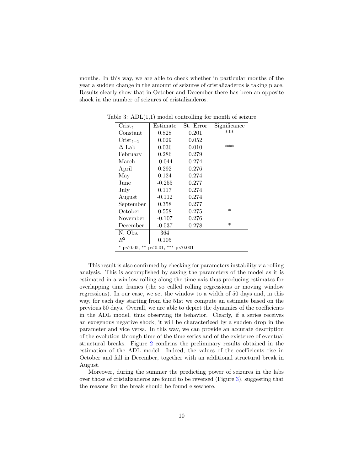months. In this way, we are able to check whether in particular months of the year a sudden change in the amount of seizures of cristalizaderos is taking place. Results clearly show that in October and December there has been an opposite shock in the number of seizures of cristalizaderos.

<span id="page-10-0"></span>

| $\mathrm{Crist}_t$                                | Estimate  | St. Error | Significance |  |  |
|---------------------------------------------------|-----------|-----------|--------------|--|--|
| Constant                                          | 0.828     | 0.201     | $***$        |  |  |
| $\text{Crist}_{t-1}$                              | 0.029     | 0.052     |              |  |  |
| ∆ Lab                                             | $0.036\,$ | 0.010     | ***          |  |  |
| February                                          | 0.286     | 0.279     |              |  |  |
| March                                             | $-0.044$  | 0.274     |              |  |  |
| April                                             | $0.292\,$ | 0.276     |              |  |  |
| May                                               | 0.124     | 0.274     |              |  |  |
| June                                              | $-0.255$  | 0.277     |              |  |  |
| July                                              | 0.117     | 0.274     |              |  |  |
| August                                            | $-0.112$  | 0.274     |              |  |  |
| September                                         | 0.358     | 0.277     |              |  |  |
| October                                           | 0.558     | 0.275     | $\ast$       |  |  |
| November                                          | $-0.107$  | 0.276     |              |  |  |
| December                                          | $-0.537$  | 0.278     | $\ast$       |  |  |
| N. Obs.                                           | 364       |           |              |  |  |
| $R^2$                                             | 0.105     |           |              |  |  |
| $**$<br>$*$ p < 0.05,<br>$p<0.01$ , *** $p<0.001$ |           |           |              |  |  |

Table 3:  $ADL(1,1)$  model controlling for month of seizure

This result is also confirmed by checking for parameters instability via rolling analysis. This is accomplished by saving the parameters of the model as it is estimated in a window rolling along the time axis thus producing estimates for overlapping time frames (the so–called rolling regressions or moving–window regressions). In our case, we set the window to a width of 50 days and, in this way, for each day starting from the 51st we compute an estimate based on the previous 50 days. Overall, we are able to depict the dynamics of the coefficients in the ADL model, thus observing its behavior. Clearly, if a series receives an exogenous negative shock, it will be characterized by a sudden drop in the parameter and vice versa. In this way, we can provide an accurate description of the evolution through time of the time series and of the existence of eventual structural breaks. Figure [2](#page-11-1) confirms the preliminary results obtained in the estimation of the ADL model. Indeed, the values of the coefficients rise in October and fall in December, together with an additional structural break in August.

Moreover, during the summer the predicting power of seizures in the labs over those of cristalizaderos are found to be reversed (Figure [3\)](#page-11-2), suggesting that the reasons for the break should be found elsewhere.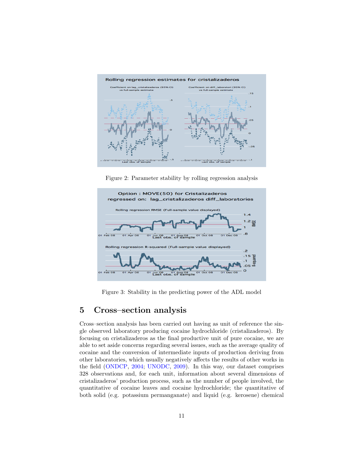

<span id="page-11-1"></span>Figure 2: Parameter stability by rolling regression analysis



<span id="page-11-2"></span>Figure 3: Stability in the predicting power of the ADL model

#### <span id="page-11-0"></span>5 Cross–section analysis

Cross–section analysis has been carried out having as unit of reference the single observed laboratory producing cocaine hydrochloride (cristalizaderos). By focusing on cristalizaderos as the final productive unit of pure cocaine, we are able to set aside concerns regarding several issues, such as the average quality of cocaine and the conversion of intermediate inputs of production deriving from other laboratories, which usually negatively affects the results of other works in the field [\(ONDCP,](#page-20-3) [2004;](#page-20-3) [UNODC,](#page-21-2) [2009\)](#page-21-2). In this way, our dataset comprises 328 observations and, for each unit, information about several dimensions of cristalizaderos' production process, such as the number of people involved, the quantitative of cocaine leaves and cocaine hydrochloride; the quantitative of both solid (e.g. potassium permanganate) and liquid (e.g. kerosene) chemical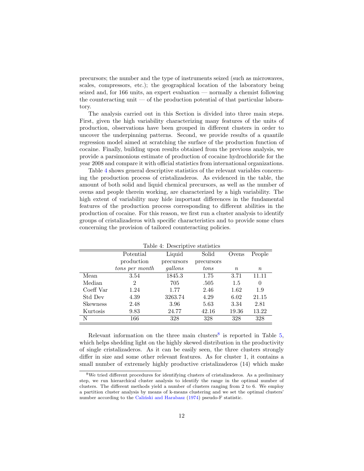precursors; the number and the type of instruments seized (such as microwaves, scales, compressors, etc.); the geographical location of the laboratory being seized and, for 166 units, an expert evaluation — normally a chemist following the counteracting unit — of the production potential of that particular laboratory.

The analysis carried out in this Section is divided into three main steps. First, given the high variability characterizing many features of the units of production, observations have been grouped in different clusters in order to uncover the underpinning patterns. Second, we provide results of a quantile regression model aimed at scratching the surface of the production function of cocaine. Finally, building upon results obtained from the previous analysis, we provide a parsimonious estimate of production of cocaine hydrochloride for the year 2008 and compare it with official statistics from international organizations.

Table [4](#page-12-0) shows general descriptive statistics of the relevant variables concerning the production process of cristalizaderos. As evidenced in the table, the amount of both solid and liquid chemical precursors, as well as the number of ovens and people therein working, are characterized by a high variability. The high extent of variability may hide important differences in the fundamental features of the production process corresponding to different abilities in the production of cocaine. For this reason, we first run a cluster analysis to identify groups of cristalizaderos with specific characteristics and to provide some clues concerning the provision of tailored counteracting policies.

| People   |
|----------|
|          |
|          |
| $\, n$   |
| 11.11    |
| $\theta$ |
| 1.9      |
| 21.15    |
| 2.81     |
| 13.22    |
| 328      |
|          |

<span id="page-12-0"></span>Table  $4$  Descriptive statistics

Relevant information on the three main clusters<sup>[8](#page-12-1)</sup> is reported in Table  $5$ , which helps shedding light on the highly skewed distribution in the productivity of single cristalizaderos. As it can be easily seen, the three clusters strongly differ in size and some other relevant features. As for cluster 1, it contains a small number of extremely highly productive cristalizaderos (14) which make

<span id="page-12-1"></span><sup>8</sup>We tried different procedures for identifying clusters of cristalizaderos. As a preliminary step, we run hierarchical cluster analysis to identify the range in the optimal number of clusters. The different methods yield a number of clusters ranging from 2 to 6. We employ a partition cluster analysis by means of k-means clustering and we set the optimal clusters' number according to the Calinski and Harabasz  $(1974)$  pseudo-F statistic.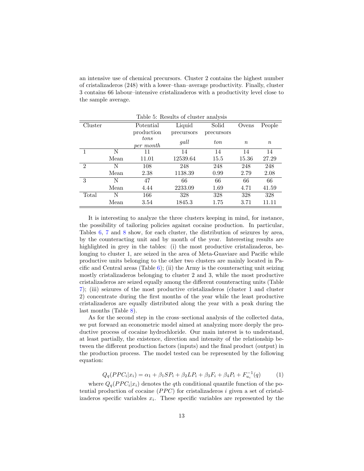an intensive use of chemical precursors. Cluster 2 contains the highest number of cristalizaderos (248) with a lower–than–average productivity. Finally, cluster 3 contains 66 labour–intensive cristalizaderos with a productivity level close to the sample average.

|               | Table 5: Results of cluster analysis |            |            |            |                  |                  |
|---------------|--------------------------------------|------------|------------|------------|------------------|------------------|
| Cluster       |                                      | Potential  | Liquid     | Solid      | Ovens            | People           |
|               |                                      | production | precursors | precursors |                  |                  |
|               |                                      | tons       | gall       | ton        | $\boldsymbol{n}$ | $\boldsymbol{n}$ |
|               |                                      | per month  |            |            |                  |                  |
| 1             | N                                    | 11         | 14         | 14         | 14               | 14               |
|               | Mean                                 | 11.01      | 12539.64   | 15.5       | 15.36            | 27.29            |
| $\mathcal{D}$ | N                                    | 108        | 248        | 248        | 248              | 248              |
|               | Mean                                 | 2.38       | 1138.39    | 0.99       | 2.79             | 2.08             |
| 3             | N                                    | 47         | 66         | 66         | 66               | 66               |
|               | Mean                                 | 4.44       | 2233.09    | 1.69       | 4.71             | 41.59            |
| Total         | N                                    | 166        | 328        | 328        | 328              | 328              |
|               | Mean                                 | 3.54       | 1845.3     | 1.75       | 3.71             | 11.11            |

<span id="page-13-0"></span>Table 5: Results of cluster analysis

It is interesting to analyze the three clusters keeping in mind, for instance, the possibility of tailoring policies against cocaine production. In particular, Tables [6,](#page-14-0) [7](#page-14-1) and [8](#page-15-0) show, for each cluster, the distribution of seizures by area, by the counteracting unit and by month of the year. Interesting results are highlighted in grey in the tables: (i) the most productive cristalizaderos, belonging to cluster 1, are seized in the area of Meta-Guaviare and Pacific while productive units belonging to the other two clusters are mainly located in Pacific and Central areas (Table  $6$ ); (ii) the Army is the counteracting unit seizing mostly cristalizaderos belonging to cluster 2 and 3, while the most productive cristalizaderos are seized equally among the different counteracting units (Table [7\)](#page-14-1); (iii) seizures of the most productive cristalizaderos (cluster 1 and cluster 2) concentrate during the first months of the year while the least productive cristalizaderos are equally distributed along the year with a peak during the last months (Table [8\)](#page-15-0).

As for the second step in the cross–sectional analysis of the collected data, we put forward an econometric model aimed at analyzing more deeply the productive process of cocaine hydrochloride. Our main interest is to understand, at least partially, the existence, direction and intensity of the relationship between the different production factors (inputs) and the final product (output) in the production process. The model tested can be represented by the following equation:

$$
Q_q(PPC_i|x_i) = \alpha_1 + \beta_1 SP_i + \beta_2 LP_i + \beta_3 F_i + \beta_4 P_i + F_{u_i}^{-1}(q) \tag{1}
$$

where  $Q_q(PPC_i|x_i)$  denotes the qth conditional quantile function of the potential production of cocaine  $(PPC)$  for cristalizaderos i given a set of cristalizaderos specific variables  $x_i$ . These specific variables are represented by the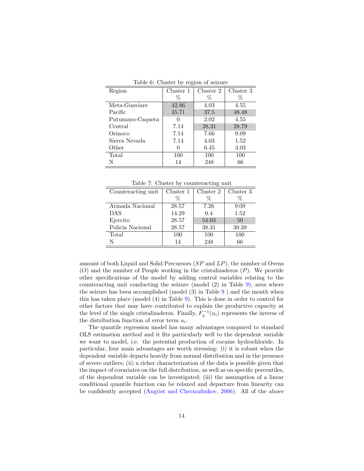| Region           | Cluster 1 | Cluster 2 | Cluster 3 |  |  |  |
|------------------|-----------|-----------|-----------|--|--|--|
|                  | Z         | %         | %         |  |  |  |
| Meta-Guaviare    | 42.86     | 4.03      | 4.55      |  |  |  |
| Pacific          | 35.71     | 37.5      | 48.48     |  |  |  |
| Putumayo-Caqueta |           | 2.02      | 4.55      |  |  |  |
| Central          | 7.14      | 38.31     | 28.79     |  |  |  |
| Orinoco          | 7.14      | 7.66      | 9.09      |  |  |  |
| Sierra Nevada    | 7.14      | 4.03      | 1.52      |  |  |  |
| Other            |           | 6.45      | 3.03      |  |  |  |
| Total            | 100       | 100       | 100       |  |  |  |
| N                | 14        | 248       | 66        |  |  |  |

<span id="page-14-0"></span>Table 6: Cluster by region of seizure

<span id="page-14-1"></span>Table 7: Cluster by counteracting unit

| Counteracting unit | Cluster 1 | Cluster 2 | Cluster 3 |
|--------------------|-----------|-----------|-----------|
|                    | Z         | Z         | Z         |
| Armada Nacional    | 28.57     | 7.26      | 9.09      |
| <b>DAS</b>         | 14.29     | 0.4       | 1.52      |
| Ejercito           | 28.57     | 54.03     | 50        |
| Policia Nacional   | 28.57     | 38.31     | 39.39     |
| Total              | 100       | 100       | 100       |
| N                  | 14        | 248       | 66        |

amount of both Liquid and Solid Precursors  $(SP \text{ and } LP)$ , the number of Ovens  $(O)$  and the number of People working in the cristalizaderos  $(P)$ . We provide other specifications of the model by adding control variables relating to the counteracting unit conducting the seizure (model (2) in Table [9\)](#page-16-0), area where the seizure has been accomplished (model (3) in Table [9](#page-16-0) ) and the month when this has taken place (model (4) in Table [9\)](#page-16-0). This is done in order to control for other factors that may have contributed to explain the productive capacity at the level of the single cristalizaderos. Finally,  $F_q^{-1}(u_i)$  represents the inverse of the distribution function of error term  $u_i$ .

The quantile regression model has many advantages compared to standard OLS estimation method and it fits particularly well to the dependent variable we want to model, i.e. the potential production of cocaine hydrochloride. In particular, four main advantages are worth stressing: (i) it is robust when the dependent variable departs heavily from normal distribution and in the presence of severe outliers; (ii) a richer characterization of the data is possible given that the impact of covariates on the full distribution, as well as on specific percentiles, of the dependent variable can be investigated; (iii) the assumption of a linear conditional quantile function can be relaxed and departure from linearity can be confidently accepted [\(Angrist and Chernozhukov,](#page-19-7) [2006\)](#page-19-7). All of the above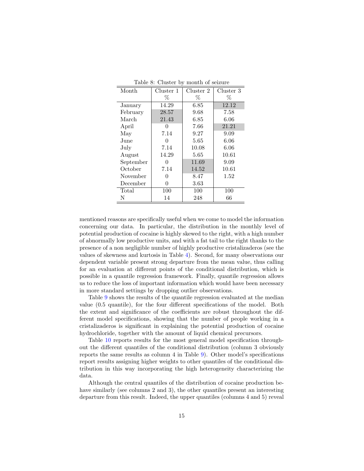| Month     | Cluster 1         | Cluster 2 | Cluster 3 |
|-----------|-------------------|-----------|-----------|
|           | $\%$              | %         | $\%$      |
| January   | 14.29             | 6.85      | 12.12     |
| February  | 28.57             | 9.68      | 7.58      |
| March     | 21.43             | 6.85      | 6.06      |
| April     | $\left( \right)$  | 7.66      | 21.21     |
| May       | 7.14              | 9.27      | 9.09      |
| June      | $\mathbf{\Omega}$ | 5.65      | 6.06      |
| July      | 7.14              | 10.08     | 6.06      |
| August    | 14.29             | 5.65      | 10.61     |
| September | 0                 | 11.69     | 9.09      |
| October   | 7.14              | 14.52     | 10.61     |
| November  | $\left( \right)$  | 8.47      | 1.52      |
| December  | 0                 | 3.63      |           |
| Total     | 100               | 100       | 100       |
| N         | 14                | 248       | 66        |

<span id="page-15-0"></span>Table 8: Cluster by month of seizure

mentioned reasons are specifically useful when we come to model the information concerning our data. In particular, the distribution in the monthly level of potential production of cocaine is highly skewed to the right, with a high number of abnormally low productive units, and with a fat tail to the right thanks to the presence of a non negligible number of highly productive cristalizaderos (see the values of skewness and kurtosis in Table [4\)](#page-12-0). Second, for many observations our dependent variable present strong departure from the mean value, thus calling for an evaluation at different points of the conditional distribution, which is possible in a quantile regression framework. Finally, quantile regression allows us to reduce the loss of important information which would have been necessary in more standard settings by dropping outlier observations.

Table [9](#page-16-0) shows the results of the quantile regression evaluated at the median value (0.5 quantile), for the four different specifications of the model. Both the extent and significance of the coefficients are robust throughout the different model specifications, showing that the number of people working in a cristalizaderos is significant in explaining the potential production of cocaine hydrochloride, together with the amount of liquid chemical precursors.

Table [10](#page-17-0) reports results for the most general model specification throughout the different quantiles of the conditional distribution (column 3 obviously reports the same results as column 4 in Table [9\)](#page-16-0). Other model's specifications report results assigning higher weights to other quantiles of the conditional distribution in this way incorporating the high heterogeneity characterizing the data.

Although the central quantiles of the distribution of cocaine production behave similarly (see columns 2 and 3), the other quantiles present an interesting departure from this result. Indeed, the upper quantiles (columns 4 and 5) reveal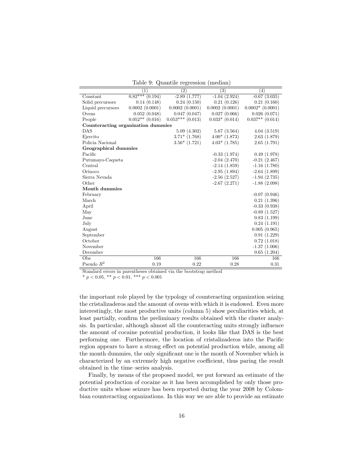<span id="page-16-0"></span>Table 9: Quantile regression (median)

|                                    | (1)                  | (2)                | (3)                | (4)                |
|------------------------------------|----------------------|--------------------|--------------------|--------------------|
| Constant                           | $0.82***$<br>(0.194) | $-2.89(1.777)$     | $-1.04(2.924)$     | $-0.67$ $(3.035)$  |
| Solid precursors                   | 0.14(0.148)          | 0.24(0.150)        | 0.21(0.126)        | 0.21(0.160)        |
| Liquid precursors                  | 0.0002(0.0001)       | 0.0002(0.0001)     | 0.0002(0.0001)     | $0.0002*$ (0.0001) |
| Ovens                              | 0.052(0.048)         | 0.047(0.047)       | 0.027(0.066)       | 0.026(0.071)       |
| People                             | $0.052**$ (0.016)    | $0.053***$ (0.013) | $0.033*$ $(0.014)$ | $0.037**$ (0.014)  |
| Counteracting organization dummies |                      |                    |                    |                    |
| DAS                                |                      | 5.09(4.302)        | 5.67(3.564)        | 4.04(3.519)        |
| Ejercito                           |                      | $3.71*$ $(1.768)$  | $4.00*(1.873)$     | 2.63(1.879)        |
| Policia Nacional                   |                      | $3.56*(1.721)$     | $4.03*$ (1.785)    | 2.65(1.791)        |
| Geographical dummies               |                      |                    |                    |                    |
| Pacific                            |                      |                    | $-0.33(1.974)$     | 0.49(1.978)        |
| Putumayo-Caqueta                   |                      |                    | $-2.04(2.470)$     | $-0.21(2.467)$     |
| Central                            |                      |                    | $-2.14(1.859)$     | $-1.16(1.780)$     |
| Orinoco                            |                      |                    | $-2.95(1.894)$     | $-2.64(1.899)$     |
| Sierra Nevada                      |                      |                    | $-2.56(2.527)$     | $-1.94(2.735)$     |
| Other                              |                      |                    | $-2.67(2.271)$     | $-1.88(2.098)$     |
| Month dummies                      |                      |                    |                    |                    |
| February                           |                      |                    |                    | $-0.07(0.946)$     |
| March                              |                      |                    |                    | 0.21(1.396)        |
| April                              |                      |                    |                    | $-0.33(0.938)$     |
| May                                |                      |                    |                    | $-0.89(1.527)$     |
| June                               |                      |                    |                    | 0.83(1.199)        |
| July                               |                      |                    |                    | 0.24(1.191)        |
| August                             |                      |                    |                    | 0.005(0.965)       |
| September                          |                      |                    |                    | 0.91(1.229)        |
| October                            |                      |                    |                    | 0.72(1.018)        |
| November                           |                      |                    |                    | $-1.37(1.006)$     |
| December                           |                      |                    |                    | 0.65(1.204)        |
| Obs                                | 166                  | 166                | 166                | 166                |
| Pseudo $R^2$                       | 0.19                 | 0.22               | 0.28               | 0.31               |

Standard errors in parentheses obtained via the bootstrap method

\*  $p < 0.05$ , \*\*  $p < 0.01$ , \*\*\*  $p < 0.001$ 

the important role played by the typology of counteracting organization seizing the cristalizaderos and the amount of ovens with which it is endowed. Even more interestingly, the most productive units (column 5) show peculiarities which, at least partially, confirm the preliminary results obtained with the cluster analysis. In particular, although almost all the counteracting units strongly influence the amount of cocaine potential production, it looks like that DAS is the best performing one. Furthermore, the location of cristalizaderos into the Pacific region appears to have a strong effect on potential production while, among all the month dummies, the only significant one is the month of November which is characterized by an extremely high negative coefficient, thus paring the result obtained in the time–series analysis.

Finally, by means of the proposed model, we put forward an estimate of the potential production of cocaine as it has been accomplished by only those productive units whose seizure has been reported during the year 2008 by Colombian counteracting organizations. In this way we are able to provide an estimate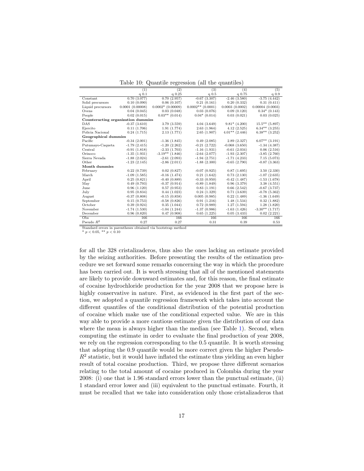|                                    | (1)             | (2)                 | (3)                 | (4)                | (5)                |
|------------------------------------|-----------------|---------------------|---------------------|--------------------|--------------------|
|                                    | $q$ 0.1         | $q$ 0.25            | $q$ 0.5             | $q$ 0.75           | $q$ 0.9            |
| Constant                           | 0.70(3.077)     | 0.70(2.957)         | $-0.67(3.307)$      | $-2.46(3.580)$     | $-3.75(4.442)$     |
| Solid precursors                   | 0.10(0.090)     | 0.06(0.107)         | 0.21(0.161)         | 0.20(0.332)        | 0.31(0.411)        |
| Liquid precursors                  | 0.0001(0.00008) | $0.0002*$ (0.00009) | $0.0002**$ (0.0001) | 0.0003(0.0002)     | 0.00004(0.0003)    |
| Ovens                              | 0.04(0.045)     | 0.03(0.048)         | 0.03(0.076)         | 0.09(0.120)        | $0.34*(0.143)$     |
| People                             | 0.02(0.015)     | $0.03**$ (0.014)    | $0.04*$ (0.014)     | 0.03(0.021)        | 0.03(0.025)        |
| Counteracting organization dummies |                 |                     |                     |                    |                    |
| DAS                                | $-0.37(3.610)$  | 3.79 (3.559)        | 4.04(3.649)         | $9.81*$ (4.200)    | $15.5***$ (5.897)  |
| Ejercito                           | 0.11(1.706)     | 1.91(1.774)         | 2.63(1.964)         | 4.12(2.525)        | $6.34**$ $(3.255)$ |
| Policia Nacional                   | 0.24(1.715)     | 2.13 (1.771)        | 2.65(1.907)         | $4.01**$ (2.446)   | $6.38**$ $(3.252)$ |
| Geographical dummies               |                 |                     |                     |                    |                    |
| Pacific                            | $-0.34(2.001)$  | $-1.36(1.845)$      | 0.49(2.085)         | 2.89(2.327)        | $6.07**$ (3.191)   |
| Putumayo-Caqueta                   | $-1.79(2.415)$  | $-1.20(2.262)$      | $-0.21(2.722)$      | $-0.068$ $(3.650)$ | $-1.34(4.387)$     |
| Central                            | $-0.91(1.818)$  | $-2.33(1.703)$      | $-1.16(1.931)$      | $-0.61(2.034)$     | 0.06(2.516)        |
| Orinoco                            | $-1.35(1.931)$  | $-3.19**$ (1.846)   | $-2.64(2.077)$      | $-1.93(2.307)$     | $-3.85(2.760)$     |
| Sierra Nevada                      | $-1.88(2.024)$  | $-2.61(2.093)$      | $-1.94(2.751)$      | $-1.71(4.233)$     | 7.15(5.073)        |
| Other                              | $-1.23(2.145)$  | $-2.86(2.011)$      | $-1.88(2.300)$      | $-0.65(2.790)$     | $-0.87(3.363)$     |
| Month dummies                      |                 |                     |                     |                    |                    |
| February                           | 0.22(0.739)     | 0.02(0.827)         | $-0.07(0.925)$      | 0.87(1.695)        | 3.50(2.330)        |
| March                              | $-1.09(1.585)$  | $-0.16(1.474)$      | 0.21(1.642)         | 0.73(2.130)        | $-1.07(2.635)$     |
| April                              | 0.25(0.821)     | $-0.40(0.889)$      | $-0.33(0.950)$      | $-0.42$ $(1.487)$  | $-1.53(1.678)$     |
| May                                | 0.49(0.793)     | $-0.37(0.914)$      | $-0.89(1.849)$      | 0.96(3.379)        | 3.38(4.551)        |
| June                               | 0.96(1.120)     | 0.57(0.953)         | 0.83(1.191)         | 0.66(2.542)        | $-0.67$ $(3.737)$  |
| July                               | 0.95(0.834)     | 0.44(1.023)         | 0.24(1.329)         | 0.71(3.639)        | $-0.78(5.362)$     |
| August                             | $-0.37(0.808)$  | $-0.15(0.858)$      | 0.005(0.985)        | 0.22(1.489)        | $-1.36(1.649)$     |
| September                          | 0.15(0.753)     | $-0.58(0.826)$      | 0.91(1.216)         | 1.48(1.534)        | 0.32(1.882)        |
| October                            | 0.39(0.924)     | 0.35(1.044)         | 0.72(0.989)         | 1.27(1.594)        | 1.28(1.820)        |
| November                           | $-1.74(1.530)$  | $-1.04(1.244)$      | $-1.37(0.986)$      | $-1.63(1.426)$     | $-3.30**$ (1.717)  |
| December                           | 0.96(0.820)     | 0.47(0.908)         | 0.65(1.225)         | 0.05(3.433)        | 0.02(2.221)        |
| Obs                                | 166             | 166                 | 166                 | 166                | 166                |
| Pseudo $R^2$                       | 0.27            | 0.27                | 0.31                | 0.39               | 0.53               |

<span id="page-17-0"></span>Table 10: Quantile regression (all the quantiles)

Standard errors in parentheses obtained via bootstrap method

\*  $p < 0.05$ , \*\*  $p < 0.10$ 

for all the 328 cristalizaderos, thus also the ones lacking an estimate provided by the seizing authorities. Before presenting the results of the estimation procedure we set forward some remarks concerning the way in which the procedure has been carried out. It is worth stressing that all of the mentioned statements are likely to provide downward estimates and, for this reason, the final estimate of cocaine hydrochloride production for the year 2008 that we propose here is highly conservative in nature. First, as evidenced in the first part of the section, we adopted a quantile regression framework which takes into account the different quantiles of the conditional distribution of the potential production of cocaine which make use of the conditional expected value. We are in this way able to provide a more cautious estimate given the distribution of our data where the mean is always higher than the median (see Table [1\)](#page-8-0). Second, when computing the estimate in order to evaluate the final production of year 2008, we rely on the regression corresponding to the 0.5 quantile. It is worth stressing that adopting the 0.9 quantile would be more correct given the higher Pseudo- $R<sup>2</sup>$  statistic, but it would have inflated the estimate thus yielding an even higher result of total cocaine production. Third, we propose three different scenarios relating to the total amount of cocaine produced in Colombia during the year 2008: (i) one that is 1.96 standard errors lower than the punctual estimate, (ii) 1 standard error lower and (iii) equivalent to the punctual estimate. Fourth, it must be recalled that we take into consideration only those cristalizaderos that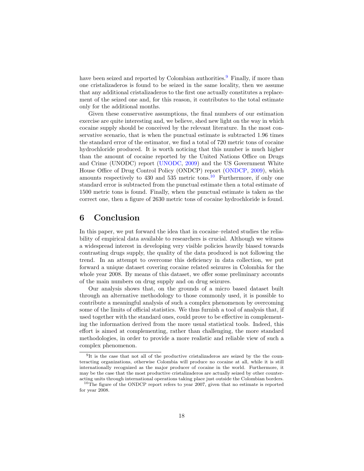have been seized and reported by Colombian authorities.<sup>[9](#page-18-0)</sup> Finally, if more than one cristalizaderos is found to be seized in the same locality, then we assume that any additional cristalizaderos to the first one actually constitutes a replacement of the seized one and, for this reason, it contributes to the total estimate only for the additional months.

Given these conservative assumptions, the final numbers of our estimation exercise are quite interesting and, we believe, shed new light on the way in which cocaine supply should be conceived by the relevant literature. In the most conservative scenario, that is when the punctual estimate is subtracted 1.96 times the standard error of the estimator, we find a total of 720 metric tons of cocaine hydrochloride produced. It is worth noticing that this number is much higher than the amount of cocaine reported by the United Nations Office on Drugs and Crime (UNODC) report [\(UNODC,](#page-21-2) [2009\)](#page-21-2) and the US Government White House Office of Drug Control Policy (ONDCP) report [\(ONDCP,](#page-20-16) [2009\)](#page-20-16), which amounts respectively to 430 and 535 metric tons.<sup>[10](#page-18-1)</sup> Furthermore, if only one standard error is subtracted from the punctual estimate then a total estimate of 1500 metric tons is found. Finally, when the punctual estimate is taken as the correct one, then a figure of 2630 metric tons of cocaine hydrochloride is found.

#### 6 Conclusion

In this paper, we put forward the idea that in cocaine–related studies the reliability of empirical data available to researchers is crucial. Although we witness a widespread interest in developing very visible policies heavily biased towards contrasting drugs supply, the quality of the data produced is not following the trend. In an attempt to overcome this deficiency in data collection, we put forward a unique dataset covering cocaine related seizures in Colombia for the whole year 2008. By means of this dataset, we offer some preliminary accounts of the main numbers on drug supply and on drug seizures.

Our analysis shows that, on the grounds of a micro based dataset built through an alternative methodology to those commonly used, it is possible to contribute a meaningful analysis of such a complex phenomenon by overcoming some of the limits of official statistics. We thus furnish a tool of analysis that, if used together with the standard ones, could prove to be effective in complementing the information derived from the more usual statistical tools. Indeed, this effort is aimed at complementing, rather than challenging, the more standard methodologies, in order to provide a more realistic and reliable view of such a complex phenomenon.

<span id="page-18-0"></span><sup>9</sup> It is the case that not all of the productive cristalizaderos are seized by the the counteracting organizations, otherwise Colombia will produce no cocaine at all, while it is still internationally recognized as the major producer of cocaine in the world. Furthermore, it may be the case that the most productive cristalizaderos are actually seized by other counteracting units through international operations taking place just outside the Colombian borders.

<span id="page-18-1"></span><sup>&</sup>lt;sup>10</sup>The figure of the ONDCP report refers to year 2007, given that no estimate is reported for year 2008.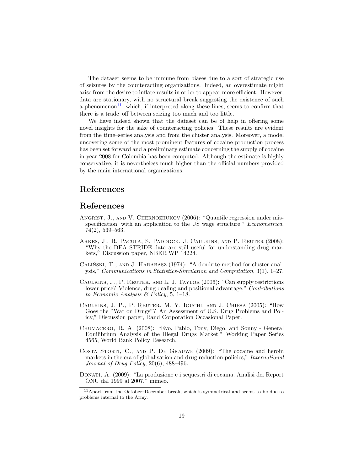The dataset seems to be immune from biases due to a sort of strategic use of seizures by the counteracting organizations. Indeed, an overestimate might arise from the desire to inflate results in order to appear more efficient. However, data are stationary, with no structural break suggesting the existence of such a phenomenon<sup>[11](#page-19-8)</sup>, which, if interpreted along these lines, seems to confirm that there is a trade–off between seizing too much and too little.

We have indeed shown that the dataset can be of help in offering some novel insights for the sake of counteracting policies. These results are evident from the time–series analysis and from the cluster analysis. Moreover, a model uncovering some of the most prominent features of cocaine production process has been set forward and a preliminary estimate concerning the supply of cocaine in year 2008 for Colombia has been computed. Although the estimate is highly conservative, it is nevertheless much higher than the official numbers provided by the main international organizations.

#### References

#### References

- <span id="page-19-7"></span>ANGRIST, J., AND V. CHERNOZHUKOV (2006): "Quantile regression under misspecification, with an application to the US wage structure," *Econometrica*, 74(2), 539–563.
- <span id="page-19-1"></span>ARKES, J., R. PACULA, S. PADDOCK, J. CAULKINS, AND P. REUTER (2008): "Why the DEA STRIDE data are still useful for understanding drug markets," Discussion paper, NBER WP 14224.
- <span id="page-19-6"></span>CALIŃSKI, T., AND J. HARABASZ (1974): "A dendrite method for cluster analysis," Communications in Statistics-Simulation and Computation, 3(1), 1–27.
- <span id="page-19-5"></span>Caulkins, J., P. Reuter, and L. J. Taylor (2006): "Can supply restrictions lower price? Violence, drug dealing and positional advantage," Contributions to Economic Analysis & Policy, 5, 1–18.
- <span id="page-19-3"></span>Caulkins, J. P., P. Reuter, M. Y. Iguchi, and J. Chiesa (2005): "How Goes the "War on Drugs"? An Assessment of U.S. Drug Problems and Policy," Discussion paper, Rand Corporation Occasional Paper.
- <span id="page-19-4"></span>Chumacero, R. A. (2008): "Evo, Pablo, Tony, Diego, and Sonny - General Equilibrium Analysis of the Illegal Drugs Market," Working Paper Series 4565, World Bank Policy Research.
- <span id="page-19-2"></span>Costa Storti, C., and P. De Grauwe (2009): "The cocaine and heroin markets in the era of globalisation and drug reduction policies," International Journal of Drug Policy, 20(6), 488–496.
- <span id="page-19-0"></span>Donati, A. (2009): "La produzione e i sequestri di cocaina. Analisi dei Report ONU dal 1999 al 2007," mimeo.

<span id="page-19-8"></span><sup>11</sup>Apart from the October–December break, which is symmetrical and seems to be due to problems internal to the Army.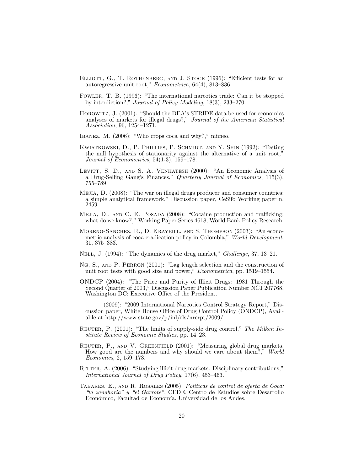- <span id="page-20-14"></span>ELLIOTT, G., T. ROTHENBERG, AND J. STOCK (1996): "Efficient tests for an autoregressive unit root," Econometrica, 64(4), 813–836.
- <span id="page-20-7"></span>Fowler, T. B. (1996): "The international narcotics trade: Can it be stopped by interdiction?," Journal of Policy Modeling, 18(3), 233–270.
- <span id="page-20-2"></span>Horowitz, J. (2001): "Should the DEA's STRIDE data be used for economics analyses of markets for illegal drugs?," Journal of the American Statistical Association, 96, 1254–1271.
- <span id="page-20-9"></span>Ibanez, M. (2006): "Who crops coca and why?," mimeo.
- <span id="page-20-13"></span>KWIATKOWSKI, D., P. PHILLIPS, P. SCHMIDT, AND Y. SHIN (1992): "Testing the null hypothesis of stationarity against the alternative of a unit root, Journal of Econometrics, 54(1-3), 159–178.
- <span id="page-20-4"></span>Levitt, S. D., and S. A. Venkatesh (2000): "An Economic Analysis of a Drug-Selling Gang's Finances," Quarterly Journal of Economics, 115(3), 755–789.
- <span id="page-20-0"></span>Mejia, D. (2008): "The war on illegal drugs producer and consumer countries: a simple analytical framework," Discussion paper, CeSifo Working paper n. 2459.
- <span id="page-20-6"></span>MEJIA, D., AND C. E. POSADA (2008): "Cocaine production and trafficking: what do we know?," Working Paper Series 4618, World Bank Policy Research.
- <span id="page-20-8"></span>Moreno-Sanchez, R., D. Kraybill, and S. Thompson (2003): "An econometric analysis of coca eradication policy in Colombia," World Development, 31, 375–383.
- <span id="page-20-11"></span>Nell, J. (1994): "The dynamics of the drug market," Challenge, 37, 13–21.
- <span id="page-20-15"></span>NG, S., AND P. PERRON (2001): "Lag length selection and the construction of unit root tests with good size and power," Econometrica, pp. 1519–1554.
- <span id="page-20-3"></span>ONDCP (2004): "The Price and Purity of Illicit Drugs: 1981 Through the Second Quarter of 2003," Discussion Paper Publication Number NCJ 207768, Washington DC: Executive Office of the President.
- <span id="page-20-16"></span>(2009): "2009 International Narcotics Control Strategy Report," Discussion paper, White House Office of Drug Control Policy (ONDCP), Available at http://www.state.gov/p/inl/rls/nrcrpt/2009/.
- <span id="page-20-12"></span>REUTER, P. (2001): "The limits of supply-side drug control," The Milken Institute Review of Economic Studies, pp. 14–23.
- <span id="page-20-1"></span>REUTER, P., AND V. GREENFIELD (2001): "Measuring global drug markets. How good are the numbers and why should we care about them?," World Economics, 2, 159–173.
- <span id="page-20-5"></span>RITTER, A. (2006): "Studying illicit drug markets: Disciplinary contributions," International Journal of Drug Policy, 17(6), 453–463.
- <span id="page-20-10"></span>TABARES, E., AND R. ROSALES (2005): Políticas de control de oferta de Coca: "la zanahoria" y "el Garrote". CEDE, Centro de Estudios sobre Desarrollo Económico, Facultad de Economía, Universidad de los Andes.